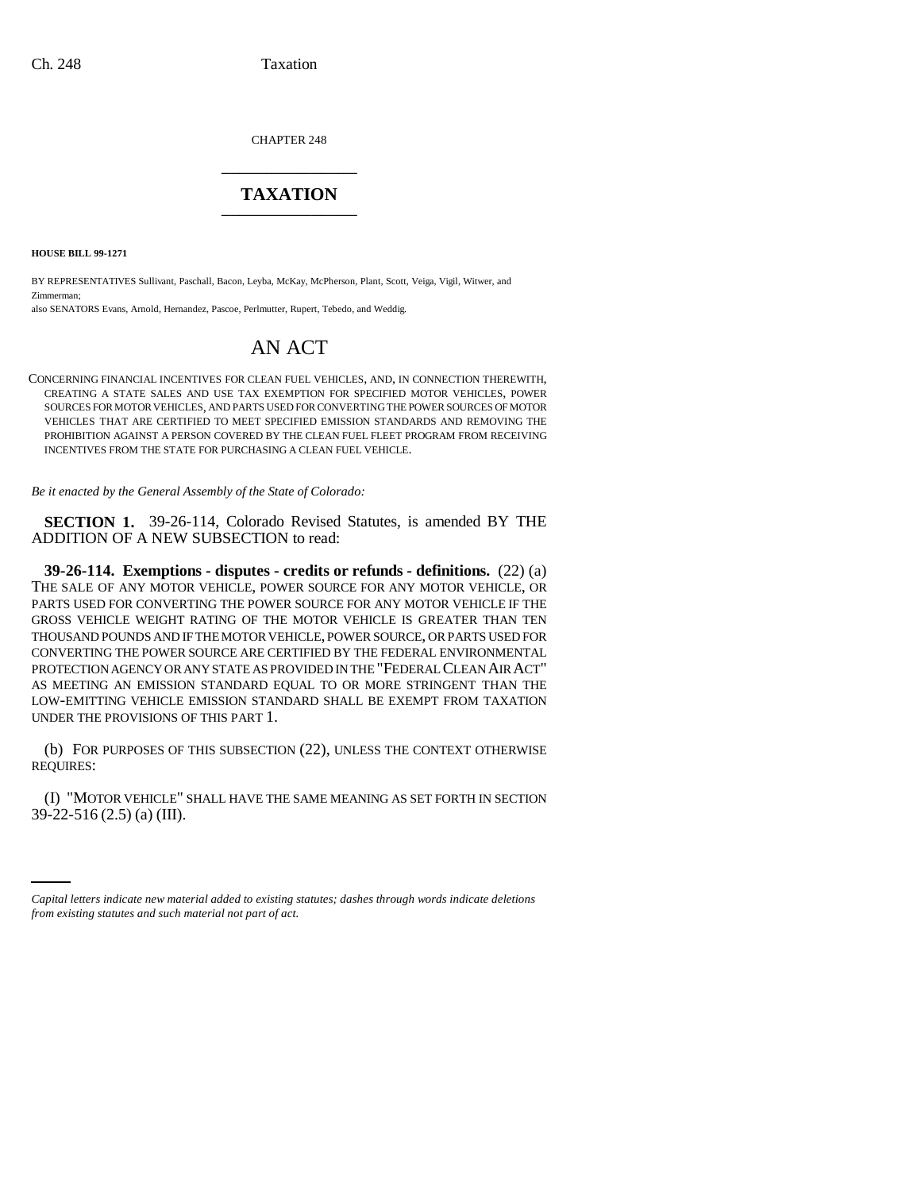CHAPTER 248 \_\_\_\_\_\_\_\_\_\_\_\_\_\_\_

## **TAXATION** \_\_\_\_\_\_\_\_\_\_\_\_\_\_\_

**HOUSE BILL 99-1271** 

BY REPRESENTATIVES Sullivant, Paschall, Bacon, Leyba, McKay, McPherson, Plant, Scott, Veiga, Vigil, Witwer, and Zimmerman;

also SENATORS Evans, Arnold, Hernandez, Pascoe, Perlmutter, Rupert, Tebedo, and Weddig.

# AN ACT

CONCERNING FINANCIAL INCENTIVES FOR CLEAN FUEL VEHICLES, AND, IN CONNECTION THEREWITH, CREATING A STATE SALES AND USE TAX EXEMPTION FOR SPECIFIED MOTOR VEHICLES, POWER SOURCES FOR MOTOR VEHICLES, AND PARTS USED FOR CONVERTING THE POWER SOURCES OF MOTOR VEHICLES THAT ARE CERTIFIED TO MEET SPECIFIED EMISSION STANDARDS AND REMOVING THE PROHIBITION AGAINST A PERSON COVERED BY THE CLEAN FUEL FLEET PROGRAM FROM RECEIVING INCENTIVES FROM THE STATE FOR PURCHASING A CLEAN FUEL VEHICLE.

*Be it enacted by the General Assembly of the State of Colorado:*

**SECTION 1.** 39-26-114, Colorado Revised Statutes, is amended BY THE ADDITION OF A NEW SUBSECTION to read:

**39-26-114. Exemptions - disputes - credits or refunds - definitions.** (22) (a) THE SALE OF ANY MOTOR VEHICLE, POWER SOURCE FOR ANY MOTOR VEHICLE, OR PARTS USED FOR CONVERTING THE POWER SOURCE FOR ANY MOTOR VEHICLE IF THE GROSS VEHICLE WEIGHT RATING OF THE MOTOR VEHICLE IS GREATER THAN TEN THOUSAND POUNDS AND IF THE MOTOR VEHICLE, POWER SOURCE, OR PARTS USED FOR CONVERTING THE POWER SOURCE ARE CERTIFIED BY THE FEDERAL ENVIRONMENTAL PROTECTION AGENCY OR ANY STATE AS PROVIDED IN THE "FEDERAL CLEAN AIR ACT" AS MEETING AN EMISSION STANDARD EQUAL TO OR MORE STRINGENT THAN THE LOW-EMITTING VEHICLE EMISSION STANDARD SHALL BE EXEMPT FROM TAXATION UNDER THE PROVISIONS OF THIS PART 1.

(b) FOR PURPOSES OF THIS SUBSECTION (22), UNLESS THE CONTEXT OTHERWISE REQUIRES:

39-22-516 (2.5) (a) (III).(I) "MOTOR VEHICLE" SHALL HAVE THE SAME MEANING AS SET FORTH IN SECTION

*Capital letters indicate new material added to existing statutes; dashes through words indicate deletions from existing statutes and such material not part of act.*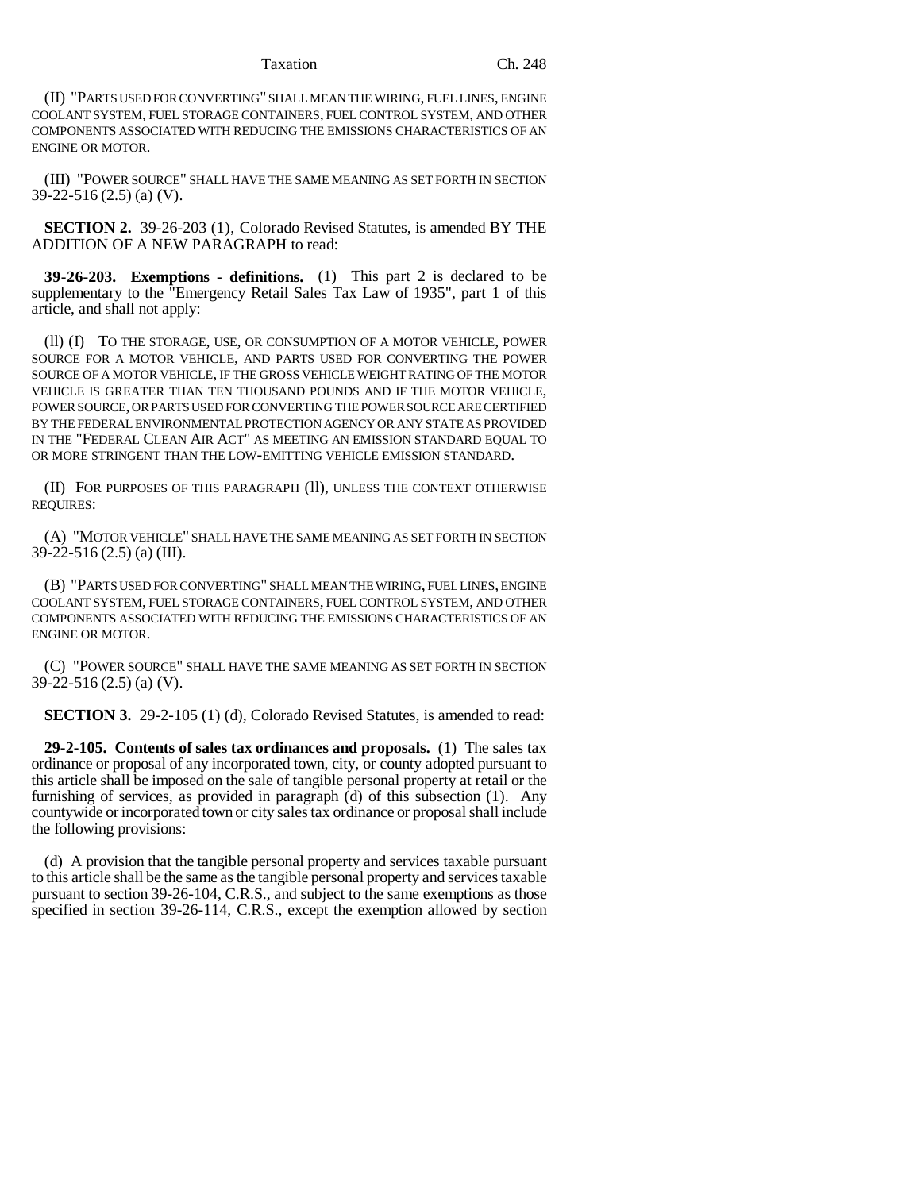#### Taxation Ch. 248

(II) "PARTS USED FOR CONVERTING" SHALL MEAN THE WIRING, FUEL LINES, ENGINE COOLANT SYSTEM, FUEL STORAGE CONTAINERS, FUEL CONTROL SYSTEM, AND OTHER COMPONENTS ASSOCIATED WITH REDUCING THE EMISSIONS CHARACTERISTICS OF AN ENGINE OR MOTOR.

(III) "POWER SOURCE" SHALL HAVE THE SAME MEANING AS SET FORTH IN SECTION 39-22-516 (2.5) (a) (V).

**SECTION 2.** 39-26-203 (1), Colorado Revised Statutes, is amended BY THE ADDITION OF A NEW PARAGRAPH to read:

**39-26-203. Exemptions - definitions.** (1) This part 2 is declared to be supplementary to the "Emergency Retail Sales Tax Law of 1935", part 1 of this article, and shall not apply:

(ll) (I) TO THE STORAGE, USE, OR CONSUMPTION OF A MOTOR VEHICLE, POWER SOURCE FOR A MOTOR VEHICLE, AND PARTS USED FOR CONVERTING THE POWER SOURCE OF A MOTOR VEHICLE, IF THE GROSS VEHICLE WEIGHT RATING OF THE MOTOR VEHICLE IS GREATER THAN TEN THOUSAND POUNDS AND IF THE MOTOR VEHICLE, POWER SOURCE, OR PARTS USED FOR CONVERTING THE POWER SOURCE ARE CERTIFIED BY THE FEDERAL ENVIRONMENTAL PROTECTION AGENCY OR ANY STATE AS PROVIDED IN THE "FEDERAL CLEAN AIR ACT" AS MEETING AN EMISSION STANDARD EQUAL TO OR MORE STRINGENT THAN THE LOW-EMITTING VEHICLE EMISSION STANDARD.

(II) FOR PURPOSES OF THIS PARAGRAPH (ll), UNLESS THE CONTEXT OTHERWISE REQUIRES:

(A) "MOTOR VEHICLE" SHALL HAVE THE SAME MEANING AS SET FORTH IN SECTION 39-22-516 (2.5) (a) (III).

(B) "PARTS USED FOR CONVERTING" SHALL MEAN THE WIRING, FUEL LINES, ENGINE COOLANT SYSTEM, FUEL STORAGE CONTAINERS, FUEL CONTROL SYSTEM, AND OTHER COMPONENTS ASSOCIATED WITH REDUCING THE EMISSIONS CHARACTERISTICS OF AN ENGINE OR MOTOR.

(C) "POWER SOURCE" SHALL HAVE THE SAME MEANING AS SET FORTH IN SECTION 39-22-516 (2.5) (a) (V).

**SECTION 3.** 29-2-105 (1) (d), Colorado Revised Statutes, is amended to read:

**29-2-105. Contents of sales tax ordinances and proposals.** (1) The sales tax ordinance or proposal of any incorporated town, city, or county adopted pursuant to this article shall be imposed on the sale of tangible personal property at retail or the furnishing of services, as provided in paragraph (d) of this subsection (1). Any countywide or incorporated town or city sales tax ordinance or proposal shall include the following provisions:

(d) A provision that the tangible personal property and services taxable pursuant to this article shall be the same as the tangible personal property and services taxable pursuant to section 39-26-104, C.R.S., and subject to the same exemptions as those specified in section 39-26-114, C.R.S., except the exemption allowed by section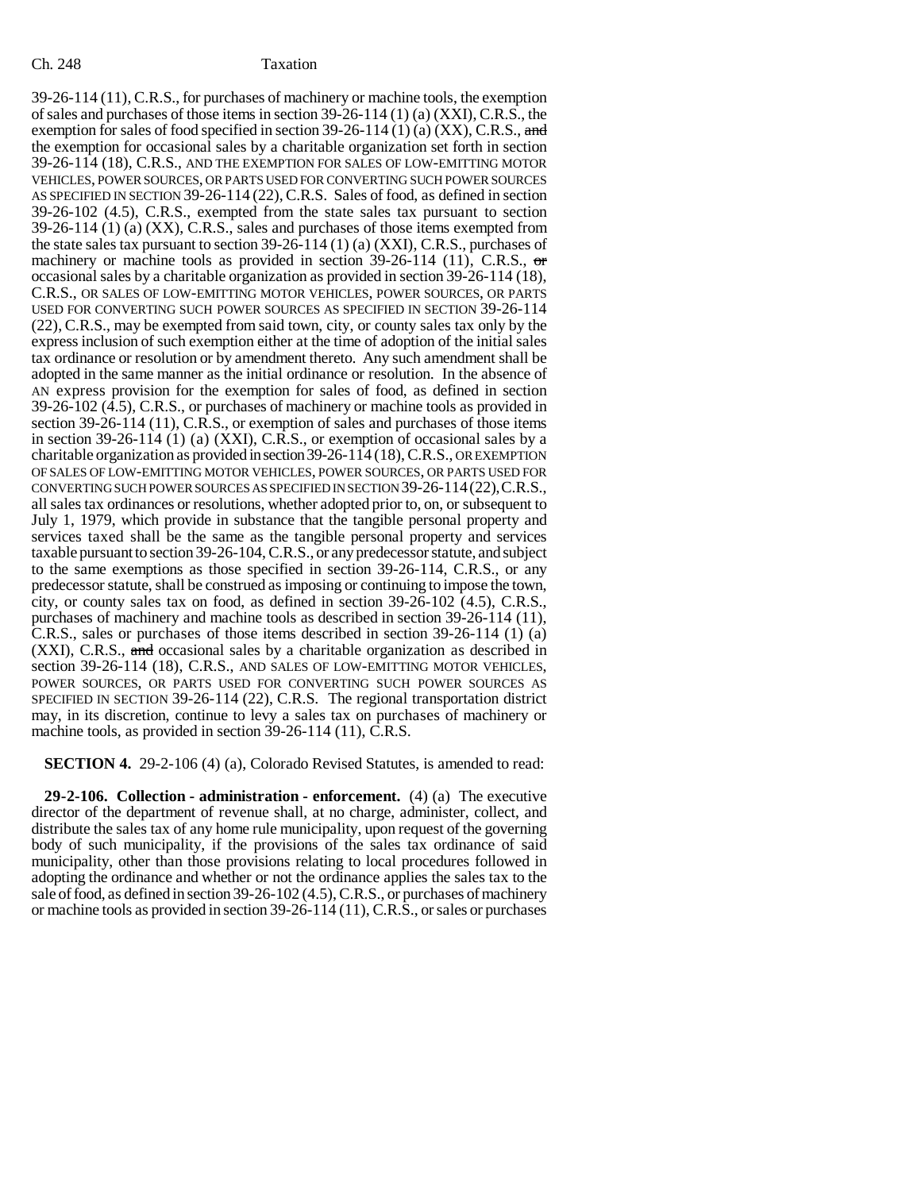39-26-114 (11), C.R.S., for purchases of machinery or machine tools, the exemption of sales and purchases of those items in section  $39-26-114$  (1) (a) (XXI), C.R.S., the exemption for sales of food specified in section  $39-26-114$  (1) (a) (XX), C.R.S., and the exemption for occasional sales by a charitable organization set forth in section 39-26-114 (18), C.R.S., AND THE EXEMPTION FOR SALES OF LOW-EMITTING MOTOR VEHICLES, POWER SOURCES, OR PARTS USED FOR CONVERTING SUCH POWER SOURCES AS SPECIFIED IN SECTION 39-26-114 (22), C.R.S. Sales of food, as defined in section 39-26-102 (4.5), C.R.S., exempted from the state sales tax pursuant to section 39-26-114 (1) (a) (XX), C.R.S., sales and purchases of those items exempted from the state sales tax pursuant to section 39-26-114 (1) (a) (XXI), C.R.S., purchases of machinery or machine tools as provided in section  $39-26-114$  (11), C.R.S., or occasional sales by a charitable organization as provided in section 39-26-114 (18), C.R.S., OR SALES OF LOW-EMITTING MOTOR VEHICLES, POWER SOURCES, OR PARTS USED FOR CONVERTING SUCH POWER SOURCES AS SPECIFIED IN SECTION 39-26-114 (22), C.R.S., may be exempted from said town, city, or county sales tax only by the express inclusion of such exemption either at the time of adoption of the initial sales tax ordinance or resolution or by amendment thereto. Any such amendment shall be adopted in the same manner as the initial ordinance or resolution. In the absence of AN express provision for the exemption for sales of food, as defined in section 39-26-102 (4.5), C.R.S., or purchases of machinery or machine tools as provided in section 39-26-114 (11), C.R.S., or exemption of sales and purchases of those items in section 39-26-114 (1) (a) (XXI), C.R.S., or exemption of occasional sales by a charitable organization as provided in section 39-26-114 (18), C.R.S., OR EXEMPTION OF SALES OF LOW-EMITTING MOTOR VEHICLES, POWER SOURCES, OR PARTS USED FOR CONVERTING SUCH POWER SOURCES AS SPECIFIED IN SECTION 39-26-114(22),C.R.S., all sales tax ordinances or resolutions, whether adopted prior to, on, or subsequent to July 1, 1979, which provide in substance that the tangible personal property and services taxed shall be the same as the tangible personal property and services taxable pursuant to section 39-26-104, C.R.S., or any predecessor statute, and subject to the same exemptions as those specified in section 39-26-114, C.R.S., or any predecessor statute, shall be construed as imposing or continuing to impose the town, city, or county sales tax on food, as defined in section 39-26-102 (4.5), C.R.S., purchases of machinery and machine tools as described in section 39-26-114 (11), C.R.S., sales or purchases of those items described in section 39-26-114 (1) (a)  $(XXI)$ , C.R.S., and occasional sales by a charitable organization as described in section 39-26-114 (18), C.R.S., AND SALES OF LOW-EMITTING MOTOR VEHICLES, POWER SOURCES, OR PARTS USED FOR CONVERTING SUCH POWER SOURCES AS SPECIFIED IN SECTION 39-26-114 (22), C.R.S. The regional transportation district may, in its discretion, continue to levy a sales tax on purchases of machinery or machine tools, as provided in section 39-26-114 (11), C.R.S.

**SECTION 4.** 29-2-106 (4) (a), Colorado Revised Statutes, is amended to read:

**29-2-106. Collection - administration - enforcement.** (4) (a) The executive director of the department of revenue shall, at no charge, administer, collect, and distribute the sales tax of any home rule municipality, upon request of the governing body of such municipality, if the provisions of the sales tax ordinance of said municipality, other than those provisions relating to local procedures followed in adopting the ordinance and whether or not the ordinance applies the sales tax to the sale of food, as defined in section 39-26-102 (4.5), C.R.S., or purchases of machinery or machine tools as provided in section 39-26-114 (11), C.R.S., or sales or purchases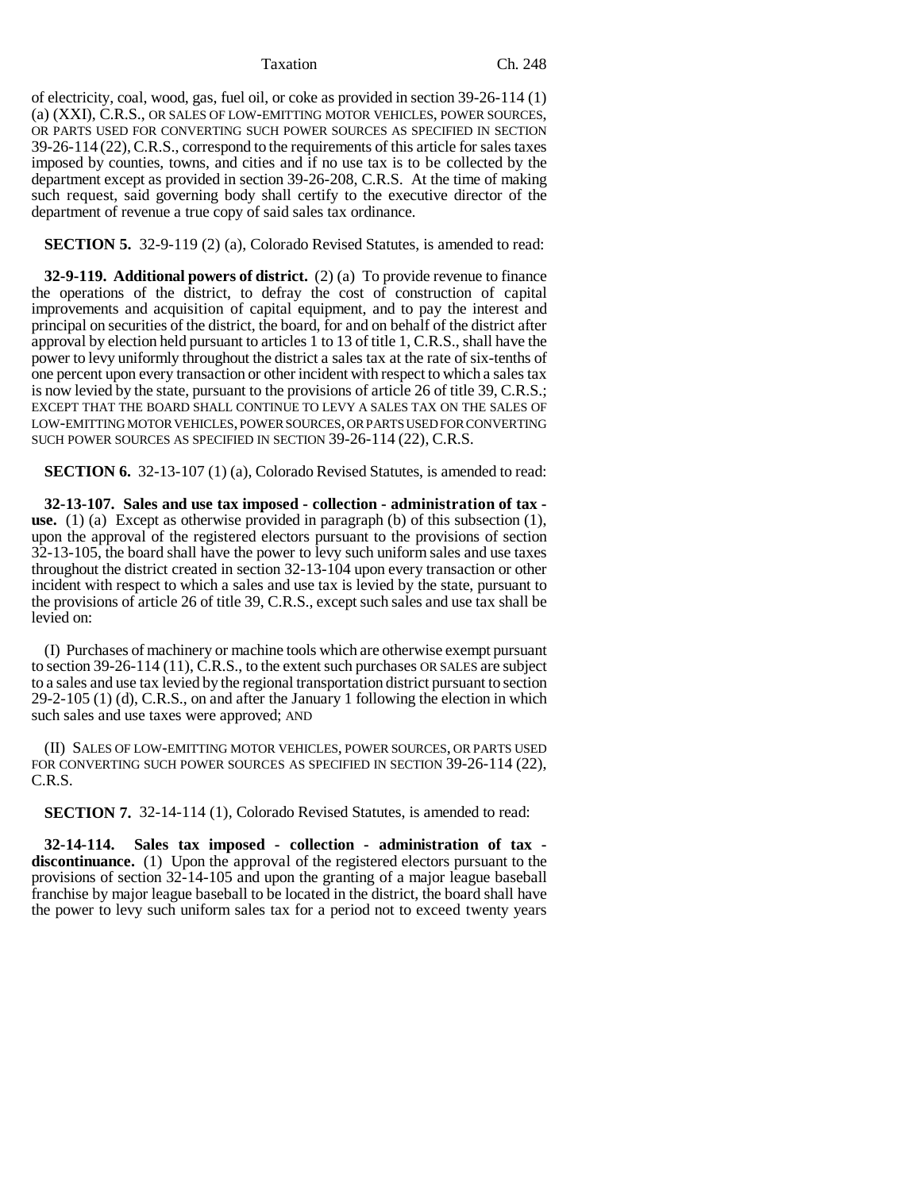Taxation Ch. 248

of electricity, coal, wood, gas, fuel oil, or coke as provided in section 39-26-114 (1) (a) (XXI), C.R.S., OR SALES OF LOW-EMITTING MOTOR VEHICLES, POWER SOURCES, OR PARTS USED FOR CONVERTING SUCH POWER SOURCES AS SPECIFIED IN SECTION 39-26-114 (22),C.R.S., correspond to the requirements of this article for sales taxes imposed by counties, towns, and cities and if no use tax is to be collected by the department except as provided in section 39-26-208, C.R.S. At the time of making such request, said governing body shall certify to the executive director of the department of revenue a true copy of said sales tax ordinance.

**SECTION 5.** 32-9-119 (2) (a), Colorado Revised Statutes, is amended to read:

**32-9-119. Additional powers of district.** (2) (a) To provide revenue to finance the operations of the district, to defray the cost of construction of capital improvements and acquisition of capital equipment, and to pay the interest and principal on securities of the district, the board, for and on behalf of the district after approval by election held pursuant to articles 1 to 13 of title 1, C.R.S., shall have the power to levy uniformly throughout the district a sales tax at the rate of six-tenths of one percent upon every transaction or other incident with respect to which a sales tax is now levied by the state, pursuant to the provisions of article 26 of title 39, C.R.S.; EXCEPT THAT THE BOARD SHALL CONTINUE TO LEVY A SALES TAX ON THE SALES OF LOW-EMITTING MOTOR VEHICLES, POWER SOURCES, OR PARTS USED FOR CONVERTING SUCH POWER SOURCES AS SPECIFIED IN SECTION 39-26-114 (22), C.R.S.

**SECTION 6.** 32-13-107 (1) (a), Colorado Revised Statutes, is amended to read:

**32-13-107. Sales and use tax imposed - collection - administration of tax use.** (1) (a) Except as otherwise provided in paragraph (b) of this subsection (1), upon the approval of the registered electors pursuant to the provisions of section 32-13-105, the board shall have the power to levy such uniform sales and use taxes throughout the district created in section 32-13-104 upon every transaction or other incident with respect to which a sales and use tax is levied by the state, pursuant to the provisions of article 26 of title 39, C.R.S., except such sales and use tax shall be levied on:

(I) Purchases of machinery or machine tools which are otherwise exempt pursuant to section 39-26-114 (11), C.R.S., to the extent such purchases OR SALES are subject to a sales and use tax levied by the regional transportation district pursuant to section 29-2-105 (1) (d), C.R.S., on and after the January 1 following the election in which such sales and use taxes were approved; AND

(II) SALES OF LOW-EMITTING MOTOR VEHICLES, POWER SOURCES, OR PARTS USED FOR CONVERTING SUCH POWER SOURCES AS SPECIFIED IN SECTION 39-26-114 (22), C.R.S.

**SECTION 7.** 32-14-114 (1), Colorado Revised Statutes, is amended to read:

**32-14-114. Sales tax imposed - collection - administration of tax discontinuance.** (1) Upon the approval of the registered electors pursuant to the provisions of section 32-14-105 and upon the granting of a major league baseball franchise by major league baseball to be located in the district, the board shall have the power to levy such uniform sales tax for a period not to exceed twenty years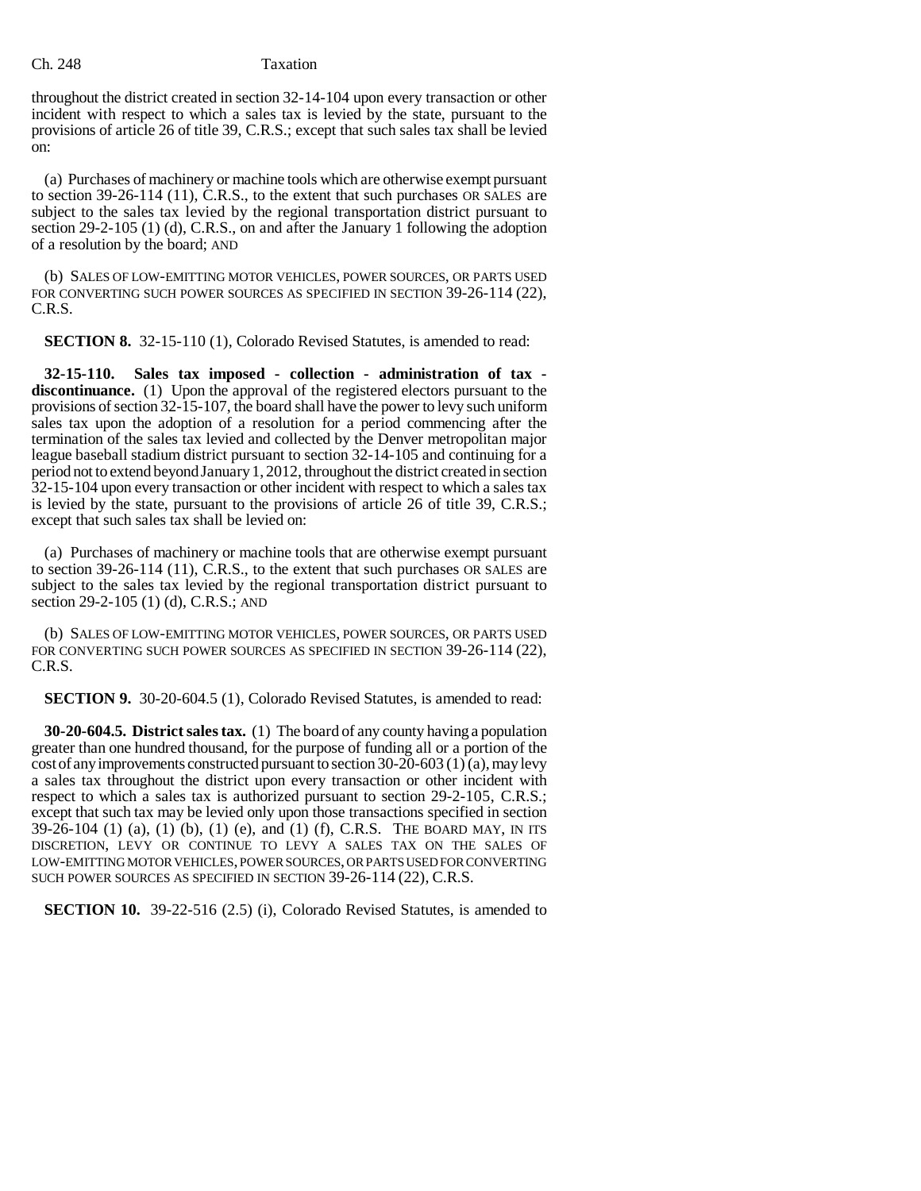### Ch. 248 Taxation

throughout the district created in section 32-14-104 upon every transaction or other incident with respect to which a sales tax is levied by the state, pursuant to the provisions of article 26 of title 39, C.R.S.; except that such sales tax shall be levied on:

(a) Purchases of machinery or machine tools which are otherwise exempt pursuant to section 39-26-114 (11), C.R.S., to the extent that such purchases OR SALES are subject to the sales tax levied by the regional transportation district pursuant to section 29-2-105 (1) (d), C.R.S., on and after the January 1 following the adoption of a resolution by the board; AND

(b) SALES OF LOW-EMITTING MOTOR VEHICLES, POWER SOURCES, OR PARTS USED FOR CONVERTING SUCH POWER SOURCES AS SPECIFIED IN SECTION 39-26-114 (22), C.R.S.

**SECTION 8.** 32-15-110 (1), Colorado Revised Statutes, is amended to read:

**32-15-110. Sales tax imposed - collection - administration of tax discontinuance.** (1) Upon the approval of the registered electors pursuant to the provisions of section 32-15-107, the board shall have the power to levy such uniform sales tax upon the adoption of a resolution for a period commencing after the termination of the sales tax levied and collected by the Denver metropolitan major league baseball stadium district pursuant to section 32-14-105 and continuing for a period not to extend beyond January 1, 2012, throughout the district created in section 32-15-104 upon every transaction or other incident with respect to which a sales tax is levied by the state, pursuant to the provisions of article 26 of title 39, C.R.S.; except that such sales tax shall be levied on:

(a) Purchases of machinery or machine tools that are otherwise exempt pursuant to section 39-26-114 (11), C.R.S., to the extent that such purchases OR SALES are subject to the sales tax levied by the regional transportation district pursuant to section 29-2-105 (1) (d), C.R.S.; AND

(b) SALES OF LOW-EMITTING MOTOR VEHICLES, POWER SOURCES, OR PARTS USED FOR CONVERTING SUCH POWER SOURCES AS SPECIFIED IN SECTION 39-26-114 (22), C.R.S.

**SECTION 9.** 30-20-604.5 (1), Colorado Revised Statutes, is amended to read:

**30-20-604.5. District sales tax.** (1) The board of any county having a population greater than one hundred thousand, for the purpose of funding all or a portion of the cost of any improvements constructed pursuant to section 30-20-603 (1) (a), may levy a sales tax throughout the district upon every transaction or other incident with respect to which a sales tax is authorized pursuant to section 29-2-105, C.R.S.; except that such tax may be levied only upon those transactions specified in section 39-26-104 (1) (a), (1) (b), (1) (e), and (1) (f), C.R.S. THE BOARD MAY, IN ITS DISCRETION, LEVY OR CONTINUE TO LEVY A SALES TAX ON THE SALES OF LOW-EMITTING MOTOR VEHICLES, POWER SOURCES, OR PARTS USED FOR CONVERTING SUCH POWER SOURCES AS SPECIFIED IN SECTION 39-26-114 (22), C.R.S.

**SECTION 10.** 39-22-516 (2.5) (i), Colorado Revised Statutes, is amended to